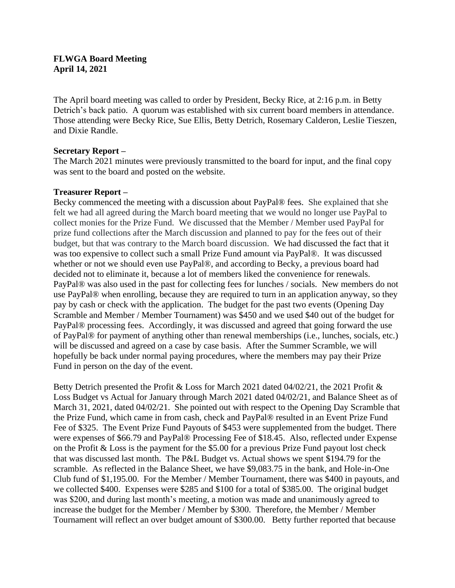### **FLWGA Board Meeting April 14, 2021**

The April board meeting was called to order by President, Becky Rice, at 2:16 p.m. in Betty Detrich's back patio. A quorum was established with six current board members in attendance. Those attending were Becky Rice, Sue Ellis, Betty Detrich, Rosemary Calderon, Leslie Tieszen, and Dixie Randle.

#### **Secretary Report –**

The March 2021 minutes were previously transmitted to the board for input, and the final copy was sent to the board and posted on the website.

## **Treasurer Report –**

Becky commenced the meeting with a discussion about PayPal® fees. She explained that she felt we had all agreed during the March board meeting that we would no longer use PayPal to collect monies for the Prize Fund. We discussed that the Member / Member used PayPal for prize fund collections after the March discussion and planned to pay for the fees out of their budget, but that was contrary to the March board discussion. We had discussed the fact that it was too expensive to collect such a small Prize Fund amount via PayPal®. It was discussed whether or not we should even use PayPal®, and according to Becky, a previous board had decided not to eliminate it, because a lot of members liked the convenience for renewals. PayPal® was also used in the past for collecting fees for lunches / socials. New members do not use PayPal® when enrolling, because they are required to turn in an application anyway, so they pay by cash or check with the application. The budget for the past two events (Opening Day Scramble and Member / Member Tournament) was \$450 and we used \$40 out of the budget for PayPal® processing fees. Accordingly, it was discussed and agreed that going forward the use of PayPal® for payment of anything other than renewal memberships (i.e., lunches, socials, etc.) will be discussed and agreed on a case by case basis. After the Summer Scramble, we will hopefully be back under normal paying procedures, where the members may pay their Prize Fund in person on the day of the event.

Betty Detrich presented the Profit & Loss for March 2021 dated 04/02/21, the 2021 Profit & Loss Budget vs Actual for January through March 2021 dated 04/02/21, and Balance Sheet as of March 31, 2021, dated 04/02/21. She pointed out with respect to the Opening Day Scramble that the Prize Fund, which came in from cash, check and PayPal® resulted in an Event Prize Fund Fee of \$325. The Event Prize Fund Payouts of \$453 were supplemented from the budget. There were expenses of \$66.79 and PayPal® Processing Fee of \$18.45. Also, reflected under Expense on the Profit & Loss is the payment for the \$5.00 for a previous Prize Fund payout lost check that was discussed last month. The P&L Budget vs. Actual shows we spent \$194.79 for the scramble. As reflected in the Balance Sheet, we have \$9,083.75 in the bank, and Hole-in-One Club fund of \$1,195.00. For the Member / Member Tournament, there was \$400 in payouts, and we collected \$400. Expenses were \$285 and \$100 for a total of \$385.00. The original budget was \$200, and during last month's meeting, a motion was made and unanimously agreed to increase the budget for the Member / Member by \$300. Therefore, the Member / Member Tournament will reflect an over budget amount of \$300.00. Betty further reported that because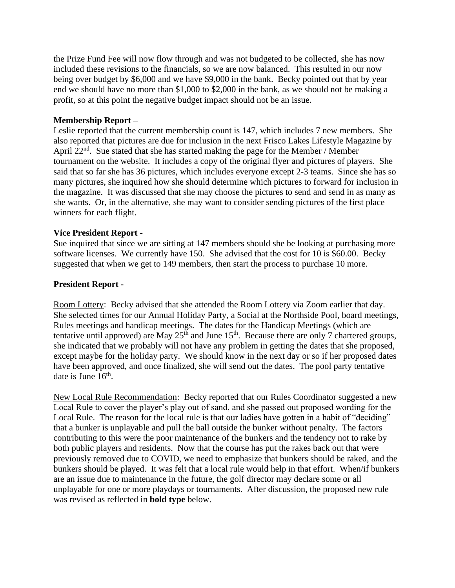the Prize Fund Fee will now flow through and was not budgeted to be collected, she has now included these revisions to the financials, so we are now balanced. This resulted in our now being over budget by \$6,000 and we have \$9,000 in the bank. Becky pointed out that by year end we should have no more than \$1,000 to \$2,000 in the bank, as we should not be making a profit, so at this point the negative budget impact should not be an issue.

#### **Membership Report –**

Leslie reported that the current membership count is 147, which includes 7 new members. She also reported that pictures are due for inclusion in the next Frisco Lakes Lifestyle Magazine by April 22<sup>nd</sup>. Sue stated that she has started making the page for the Member / Member tournament on the website. It includes a copy of the original flyer and pictures of players. She said that so far she has 36 pictures, which includes everyone except 2-3 teams. Since she has so many pictures, she inquired how she should determine which pictures to forward for inclusion in the magazine. It was discussed that she may choose the pictures to send and send in as many as she wants. Or, in the alternative, she may want to consider sending pictures of the first place winners for each flight.

#### **Vice President Report -**

Sue inquired that since we are sitting at 147 members should she be looking at purchasing more software licenses. We currently have 150. She advised that the cost for 10 is \$60.00. Becky suggested that when we get to 149 members, then start the process to purchase 10 more.

## **President Report -**

Room Lottery: Becky advised that she attended the Room Lottery via Zoom earlier that day. She selected times for our Annual Holiday Party, a Social at the Northside Pool, board meetings, Rules meetings and handicap meetings. The dates for the Handicap Meetings (which are tentative until approved) are May  $25<sup>th</sup>$  and June 15<sup>th</sup>. Because there are only 7 chartered groups, she indicated that we probably will not have any problem in getting the dates that she proposed, except maybe for the holiday party. We should know in the next day or so if her proposed dates have been approved, and once finalized, she will send out the dates. The pool party tentative date is June  $16<sup>th</sup>$ .

New Local Rule Recommendation: Becky reported that our Rules Coordinator suggested a new Local Rule to cover the player's play out of sand, and she passed out proposed wording for the Local Rule. The reason for the local rule is that our ladies have gotten in a habit of "deciding" that a bunker is unplayable and pull the ball outside the bunker without penalty. The factors contributing to this were the poor maintenance of the bunkers and the tendency not to rake by both public players and residents. Now that the course has put the rakes back out that were previously removed due to COVID, we need to emphasize that bunkers should be raked, and the bunkers should be played. It was felt that a local rule would help in that effort. When/if bunkers are an issue due to maintenance in the future, the golf director may declare some or all unplayable for one or more playdays or tournaments. After discussion, the proposed new rule was revised as reflected in **bold type** below.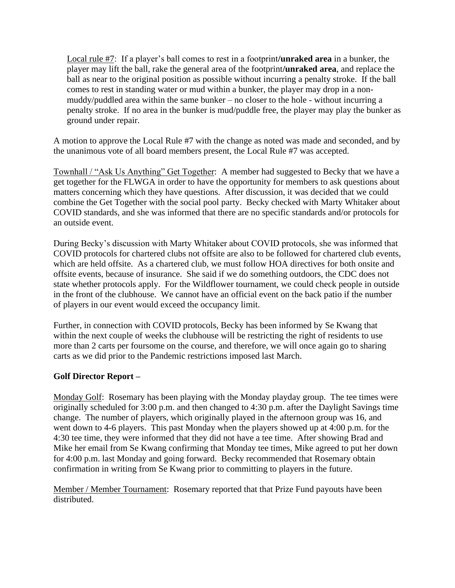Local rule #7: If a player's ball comes to rest in a footprint**/unraked area** in a bunker, the player may lift the ball, rake the general area of the footprint**/unraked area**, and replace the ball as near to the original position as possible without incurring a penalty stroke. If the ball comes to rest in standing water or mud within a bunker, the player may drop in a nonmuddy/puddled area within the same bunker – no closer to the hole - without incurring a penalty stroke. If no area in the bunker is mud/puddle free, the player may play the bunker as ground under repair.

A motion to approve the Local Rule #7 with the change as noted was made and seconded, and by the unanimous vote of all board members present, the Local Rule #7 was accepted.

Townhall / "Ask Us Anything" Get Together: A member had suggested to Becky that we have a get together for the FLWGA in order to have the opportunity for members to ask questions about matters concerning which they have questions. After discussion, it was decided that we could combine the Get Together with the social pool party. Becky checked with Marty Whitaker about COVID standards, and she was informed that there are no specific standards and/or protocols for an outside event.

During Becky's discussion with Marty Whitaker about COVID protocols, she was informed that COVID protocols for chartered clubs not offsite are also to be followed for chartered club events, which are held offsite. As a chartered club, we must follow HOA directives for both onsite and offsite events, because of insurance. She said if we do something outdoors, the CDC does not state whether protocols apply. For the Wildflower tournament, we could check people in outside in the front of the clubhouse. We cannot have an official event on the back patio if the number of players in our event would exceed the occupancy limit.

Further, in connection with COVID protocols, Becky has been informed by Se Kwang that within the next couple of weeks the clubhouse will be restricting the right of residents to use more than 2 carts per foursome on the course, and therefore, we will once again go to sharing carts as we did prior to the Pandemic restrictions imposed last March.

# **Golf Director Report –**

Monday Golf: Rosemary has been playing with the Monday playday group. The tee times were originally scheduled for 3:00 p.m. and then changed to 4:30 p.m. after the Daylight Savings time change. The number of players, which originally played in the afternoon group was 16, and went down to 4-6 players. This past Monday when the players showed up at 4:00 p.m. for the 4:30 tee time, they were informed that they did not have a tee time. After showing Brad and Mike her email from Se Kwang confirming that Monday tee times, Mike agreed to put her down for 4:00 p.m. last Monday and going forward. Becky recommended that Rosemary obtain confirmation in writing from Se Kwang prior to committing to players in the future.

Member / Member Tournament: Rosemary reported that that Prize Fund payouts have been distributed.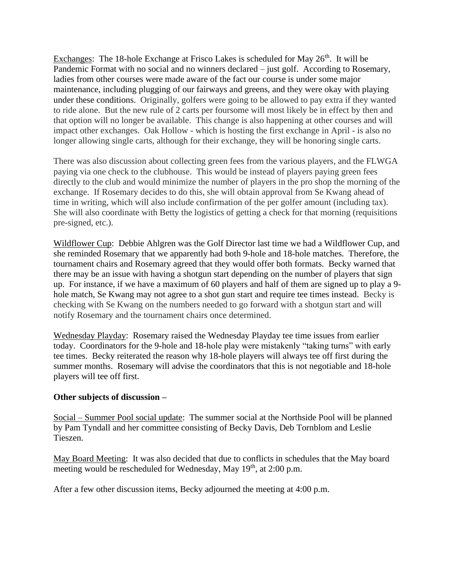Exchanges: The 18-hole Exchange at Frisco Lakes is scheduled for May  $26<sup>th</sup>$ . It will be Pandemic Format with no social and no winners declared – just golf. According to Rosemary, ladies from other courses were made aware of the fact our course is under some major maintenance, including plugging of our fairways and greens, and they were okay with playing under these conditions. Originally, golfers were going to be allowed to pay extra if they wanted to ride alone. But the new rule of 2 carts per foursome will most likely be in effect by then and that option will no longer be available. This change is also happening at other courses and will impact other exchanges. Oak Hollow - which is hosting the first exchange in April - is also no longer allowing single carts, although for their exchange, they will be honoring single carts.

There was also discussion about collecting green fees from the various players, and the FLWGA paying via one check to the clubhouse. This would be instead of players paying green fees directly to the club and would minimize the number of players in the pro shop the morning of the exchange. If Rosemary decides to do this, she will obtain approval from Se Kwang ahead of time in writing, which will also include confirmation of the per golfer amount (including tax). She will also coordinate with Betty the logistics of getting a check for that morning (requisitions pre-signed, etc.).

Wildflower Cup: Debbie Ahlgren was the Golf Director last time we had a Wildflower Cup, and she reminded Rosemary that we apparently had both 9-hole and 18-hole matches. Therefore, the tournament chairs and Rosemary agreed that they would offer both formats. Becky warned that there may be an issue with having a shotgun start depending on the number of players that sign up. For instance, if we have a maximum of 60 players and half of them are signed up to play a 9 hole match, Se Kwang may not agree to a shot gun start and require tee times instead. Becky is checking with Se Kwang on the numbers needed to go forward with a shotgun start and will notify Rosemary and the tournament chairs once determined.

Wednesday Playday: Rosemary raised the Wednesday Playday tee time issues from earlier today. Coordinators for the 9-hole and 18-hole play were mistakenly "taking turns" with early tee times. Becky reiterated the reason why 18-hole players will always tee off first during the summer months. Rosemary will advise the coordinators that this is not negotiable and 18-hole players will tee off first.

#### **Other subjects of discussion –**

Social – Summer Pool social update: The summer social at the Northside Pool will be planned by Pam Tyndall and her committee consisting of Becky Davis, Deb Tornblom and Leslie Tieszen.

May Board Meeting: It was also decided that due to conflicts in schedules that the May board meeting would be rescheduled for Wednesday, May 19<sup>th</sup>, at 2:00 p.m.

After a few other discussion items, Becky adjourned the meeting at 4:00 p.m.